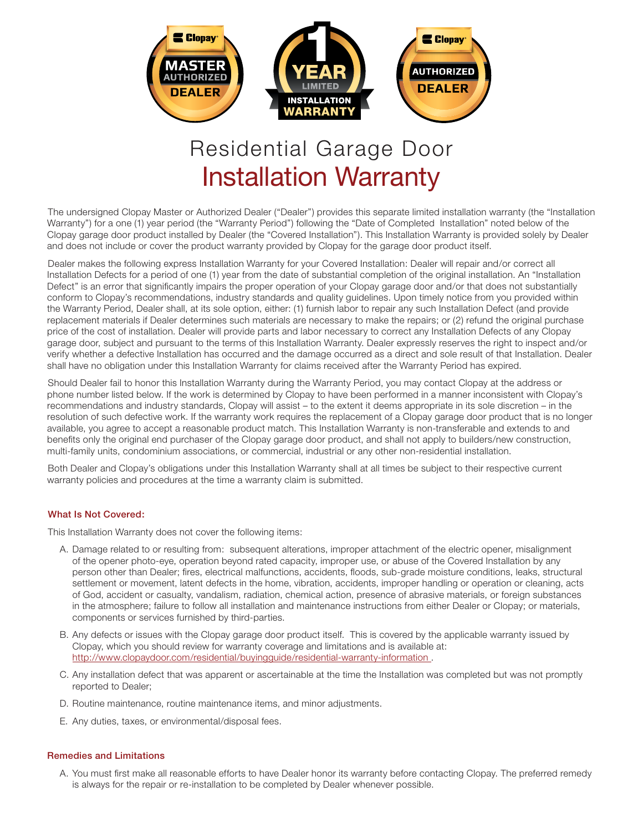

# Installation Warranty Residential Garage Door

The undersigned Clopay Master or Authorized Dealer ("Dealer") provides this separate limited installation warranty (the "Installation Warranty") for a one (1) year period (the "Warranty Period") following the "Date of Completed Installation" noted below of the Clopay garage door product installed by Dealer (the "Covered Installation"). This Installation Warranty is provided solely by Dealer and does not include or cover the product warranty provided by Clopay for the garage door product itself.

Dealer makes the following express Installation Warranty for your Covered Installation: Dealer will repair and/or correct all Installation Defects for a period of one (1) year from the date of substantial completion of the original installation. An "Installation Defect" is an error that significantly impairs the proper operation of your Clopay garage door and/or that does not substantially conform to Clopay's recommendations, industry standards and quality guidelines. Upon timely notice from you provided within the Warranty Period, Dealer shall, at its sole option, either: (1) furnish labor to repair any such Installation Defect (and provide replacement materials if Dealer determines such materials are necessary to make the repairs; or (2) refund the original purchase price of the cost of installation. Dealer will provide parts and labor necessary to correct any Installation Defects of any Clopay garage door, subject and pursuant to the terms of this Installation Warranty. Dealer expressly reserves the right to inspect and/or verify whether a defective Installation has occurred and the damage occurred as a direct and sole result of that Installation. Dealer shall have no obligation under this Installation Warranty for claims received after the Warranty Period has expired.

Should Dealer fail to honor this Installation Warranty during the Warranty Period, you may contact Clopay at the address or phone number listed below. If the work is determined by Clopay to have been performed in a manner inconsistent with Clopay's recommendations and industry standards, Clopay will assist – to the extent it deems appropriate in its sole discretion – in the resolution of such defective work. If the warranty work requires the replacement of a Clopay garage door product that is no longer available, you agree to accept a reasonable product match. This Installation Warranty is non-transferable and extends to and benefits only the original end purchaser of the Clopay garage door product, and shall not apply to builders/new construction, multi-family units, condominium associations, or commercial, industrial or any other non-residential installation.

Both Dealer and Clopay's obligations under this Installation Warranty shall at all times be subject to their respective current warranty policies and procedures at the time a warranty claim is submitted.

### What Is Not Covered:

This Installation Warranty does not cover the following items:

- A. Damage related to or resulting from: subsequent alterations, improper attachment of the electric opener, misalignment of the opener photo-eye, operation beyond rated capacity, improper use, or abuse of the Covered Installation by any person other than Dealer; fires, electrical malfunctions, accidents, floods, sub-grade moisture conditions, leaks, structural settlement or movement, latent defects in the home, vibration, accidents, improper handling or operation or cleaning, acts of God, accident or casualty, vandalism, radiation, chemical action, presence of abrasive materials, or foreign substances in the atmosphere; failure to follow all installation and maintenance instructions from either Dealer or Clopay; or materials, components or services furnished by third-parties.
- B. Any defects or issues with the Clopay garage door product itself. This is covered by the applicable warranty issued by Clopay, which you should review for warranty coverage and limitations and is available at: http://www.clopaydoor.com/residential/buyingguide/residential-warranty-information .
- C. Any installation defect that was apparent or ascertainable at the time the Installation was completed but was not promptly reported to Dealer;
- D. Routine maintenance, routine maintenance items, and minor adjustments.
- E. Any duties, taxes, or environmental/disposal fees.

## Remedies and Limitations

A. You must first make all reasonable efforts to have Dealer honor its warranty before contacting Clopay. The preferred remedy is always for the repair or re-installation to be completed by Dealer whenever possible.